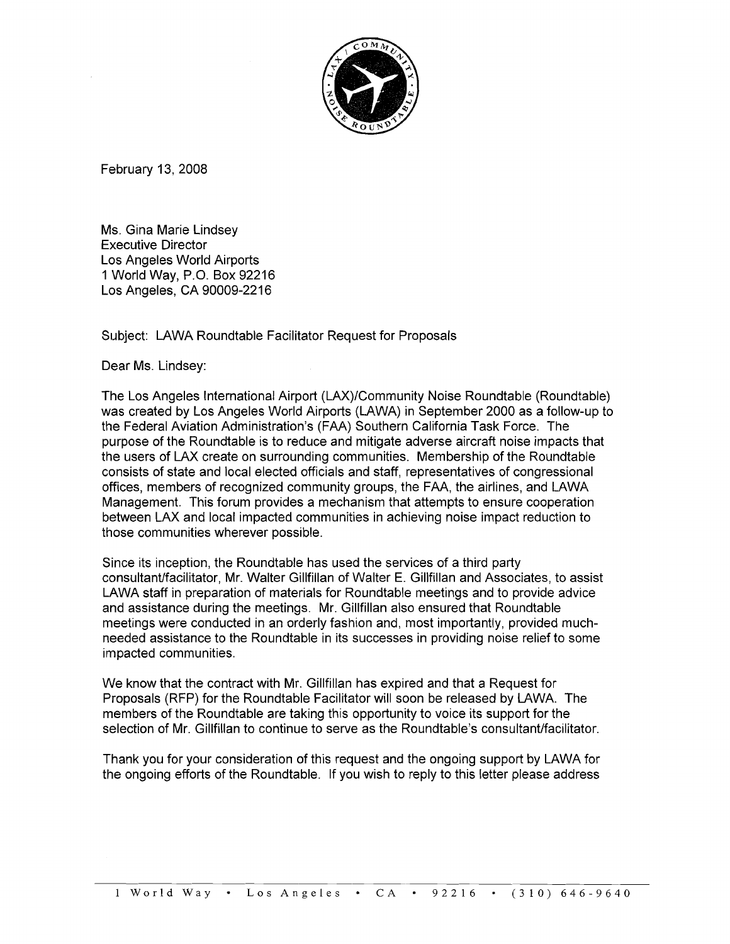

February 13, 2008

Ms. Gina Marie Lindsey Executive Director Los Angeles World Airports 1 World Way, P.O. Box 92216 Los Angeles, CA 90009-2216

Subject: LAWA Roundtable Facilitator Request for Proposals

Dear Ms. Lindsey:

The Los Angeles International Airport (LAX)/Community Noise Roundtable (Roundtable) was created by Los Angeles World Airports (LAWA) in September 2000 as a follow-up to the Federal Aviation Administration's (FAA) Southern California Task Force. The purpose of the Roundtable is to reduce and mitigate adverse aircraft noise impacts that the users of LAX create on surrounding communities. Membership of the Roundtable consists of state and local elected officials and staff, representatives of congressional offices, members of recognized community groups, the FAA, the airlines, and LAWA Management. This forum provides a mechanism that attempts to ensure cooperation between LAX and local impacted communities in achieving noise impact reduction to those communities wherever possible.

Since its inception, the Roundtable has used the services of a third party consultantlfacilitator, Mr. Walter Gillfillan of Walter E. Gillfillan and Associates, to assist LAWA staff in preparation of materials for Roundtable meetings and to provide advice and assistance during the meetings. Mr. Gillfillan also ensured that Roundtable meetings were conducted in an orderly fashion and, most importantly, provided muchneeded assistance to the Roundtable in its successes in providing noise relief to some impacted communities.

We know that the contract with Mr. Gillfillan has expired and that a Request for Proposals (RFP) for the Roundtable Facilitator will soon be released by LAWA. The members of the Roundtable are taking this opportunity to voice its support for the selection of Mr. Gillfillan to continue to serve as the Roundtable's consultant/facilitator.

Thank you for your consideration of this request and the ongoing support by LAWA for the ongoing efforts of the Roundtable. If you wish to reply to this letter please address